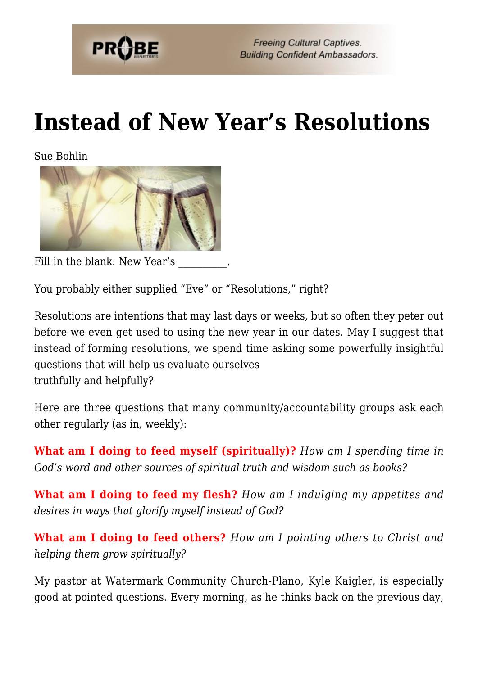

# **[Instead of New Year's Resolutions](https://probe.org/instead-of-new-years-resolutions/)**

Sue Bohlin



Fill in the blank: New Year's

You probably either supplied "Eve" or "Resolutions," right?

Resolutions are intentions that may last days or weeks, but so often they peter out before we even get used to using the new year in our dates. May I suggest that instead of forming resolutions, we spend time asking some powerfully insightful questions that will help us evaluate ourselves truthfully and helpfully?

Here are three questions that many community/accountability groups ask each other regularly (as in, weekly):

**What am I doing to feed myself (spiritually)?** *How am I spending time in God's word and other sources of spiritual truth and wisdom such as books?*

**What am I doing to feed my flesh?** *How am I indulging my appetites and desires in ways that glorify myself instead of God?*

**What am I doing to feed others?** *How am I pointing others to Christ and helping them grow spiritually?*

My pastor at Watermark Community Church-Plano, Kyle Kaigler, is especially good at pointed questions. Every morning, as he thinks back on the previous day,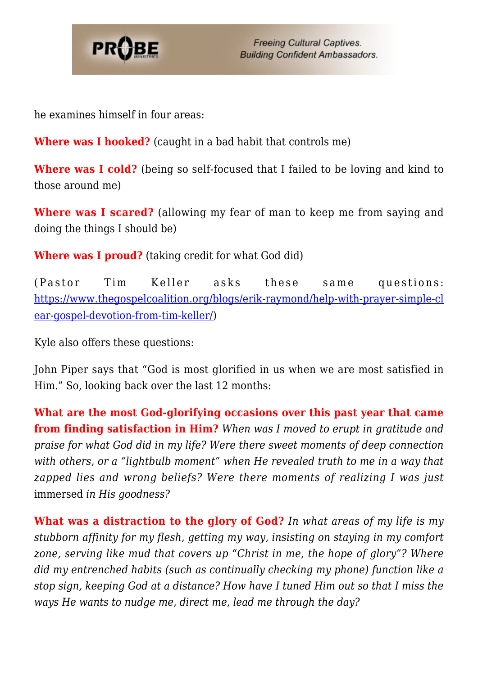

**Freeing Cultural Captives. Building Confident Ambassadors.** 

he examines himself in four areas:

**Where was I hooked?** (caught in a bad habit that controls me)

**Where was I cold?** (being so self-focused that I failed to be loving and kind to those around me)

**Where was I scared?** (allowing my fear of man to keep me from saying and doing the things I should be)

**Where was I proud?** (taking credit for what God did)

(Pastor Tim Keller asks these same questions: [https://www.thegospelcoalition.org/blogs/erik-raymond/help-with-prayer-simple-cl](https://www.thegospelcoalition.org/blogs/erik-raymond/help-with-prayer-simple-clear-gospel-devotion-from-tim-keller/) [ear-gospel-devotion-from-tim-keller/](https://www.thegospelcoalition.org/blogs/erik-raymond/help-with-prayer-simple-clear-gospel-devotion-from-tim-keller/))

Kyle also offers these questions:

John Piper says that "God is most glorified in us when we are most satisfied in Him." So, looking back over the last 12 months:

**What are the most God-glorifying occasions over this past year that came from finding satisfaction in Him?** *When was I moved to erupt in gratitude and praise for what God did in my life? Were there sweet moments of deep connection with others, or a "lightbulb moment" when He revealed truth to me in a way that zapped lies and wrong beliefs? Were there moments of realizing I was just* immersed *in His goodness?* 

**What was a distraction to the glory of God?** *In what areas of my life is my stubborn affinity for my flesh, getting my way, insisting on staying in my comfort zone, serving like mud that covers up "Christ in me, the hope of glory"? Where did my entrenched habits (such as continually checking my phone) function like a stop sign, keeping God at a distance? How have I tuned Him out so that I miss the ways He wants to nudge me, direct me, lead me through the day?*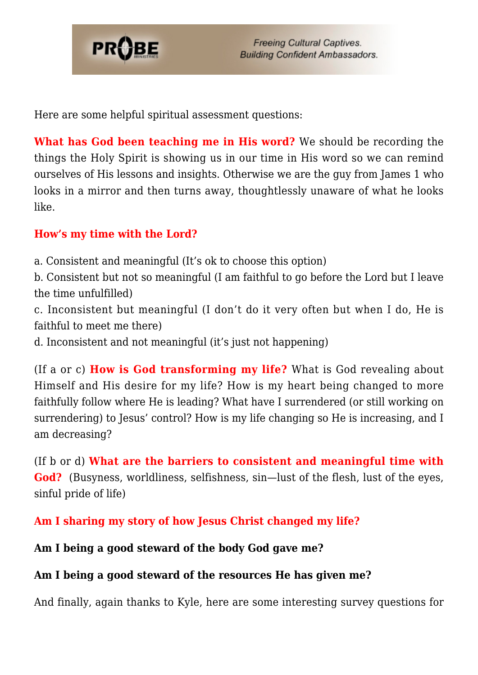

Here are some helpful spiritual assessment questions:

**What has God been teaching me in His word?** We should be recording the things the Holy Spirit is showing us in our time in His word so we can remind ourselves of His lessons and insights. Otherwise we are the guy from James 1 who looks in a mirror and then turns away, thoughtlessly unaware of what he looks like.

## **How's my time with the Lord?**

a. Consistent and meaningful (It's ok to choose this option)

b. Consistent but not so meaningful (I am faithful to go before the Lord but I leave the time unfulfilled)

c. Inconsistent but meaningful (I don't do it very often but when I do, He is faithful to meet me there)

d. Inconsistent and not meaningful (it's just not happening)

(If a or c) **How is God transforming my life?** What is God revealing about Himself and His desire for my life? How is my heart being changed to more faithfully follow where He is leading? What have I surrendered (or still working on surrendering) to Jesus' control? How is my life changing so He is increasing, and I am decreasing?

(If b or d) **What are the barriers to consistent and meaningful time with God?** (Busyness, worldliness, selfishness, sin—lust of the flesh, lust of the eyes, sinful pride of life)

**Am I sharing my story of how Jesus Christ changed my life?**

## **Am I being a good steward of the body God gave me?**

## **Am I being a good steward of the resources He has given me?**

And finally, again thanks to Kyle, here are some interesting survey questions for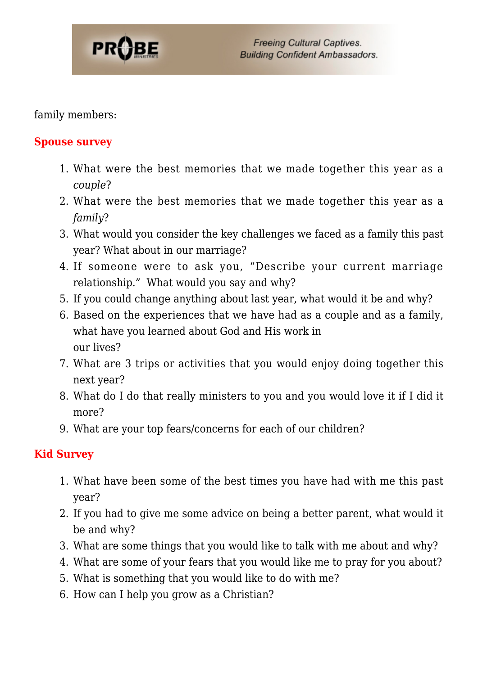

family members:

## **Spouse survey**

- 1. What were the best memories that we made together this year as a *couple*?
- 2. What were the best memories that we made together this year as a *family*?
- 3. What would you consider the key challenges we faced as a family this past year? What about in our marriage?
- 4. If someone were to ask you, "Describe your current marriage relationship." What would you say and why?
- 5. If you could change anything about last year, what would it be and why?
- 6. Based on the experiences that we have had as a couple and as a family, what have you learned about God and His work in our lives?
- 7. What are 3 trips or activities that you would enjoy doing together this next year?
- 8. What do I do that really ministers to you and you would love it if I did it more?
- 9. What are your top fears/concerns for each of our children?

## **Kid Survey**

- 1. What have been some of the best times you have had with me this past year?
- 2. If you had to give me some advice on being a better parent, what would it be and why?
- 3. What are some things that you would like to talk with me about and why?
- 4. What are some of your fears that you would like me to pray for you about?
- 5. What is something that you would like to do with me?
- 6. How can I help you grow as a Christian?